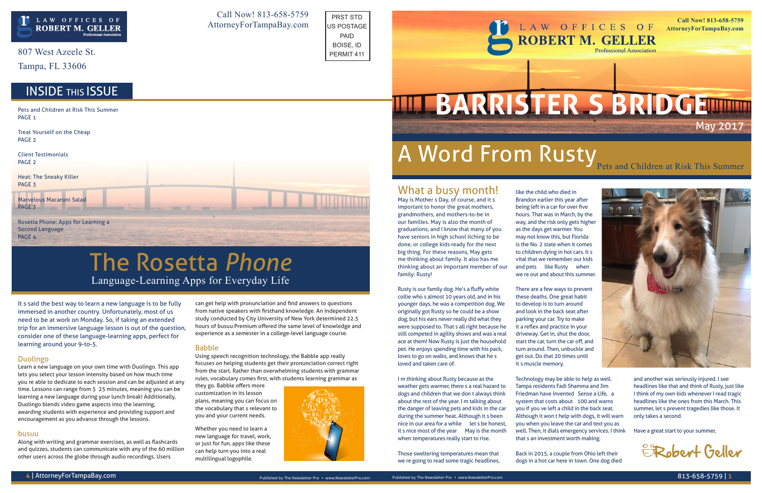It's said the best way to learn a new language is to be fully immersed in another country. Unfortunately, most of us need to be at work on Monday. So, if taking an extended trip for an immersive language lesson is out of the question, consider one of these language-learning apps, perfect for learning around your 9-to-5.

#### Duolingo

Learn a new language on your own time with Duolingo. This app lets you select your lesson intensity based on how much time you're able to dedicate to each session and can be adjusted at any time. Lessons can range from 5–25 minutes, meaning you can be learning a new language during your lunch break! Additionally, Duolingo blends video game aspects into the learning, awarding students with experience and providing support and encouragement as you advance through the lessons.

#### busuu

Along with writing and grammar exercises, as well as flashcards and quizzes, students can communicate with any of the 60 million other users across the globe through audio recordings. Users

can get help with pronunciation and find answers to questions from native speakers with firsthand knowledge. An independent study conducted by City University of New York determined 22.5 hours of busuu Premium offered the same level of knowledge and experience as a semester in a college-level language course.

#### Babble

Using speech recognition technology, the Babble app really focuses on helping students get their pronunciation correct right from the start. Rather than overwhelming students with grammar rules, vocabulary comes first, with students learning grammar as

they go. Babble offers more customization in its lesson plans, meaning you can focus on the vocabulary that's relevant to you and your current needs.

Whether you need to learn a new language for travel, work, or just for fun, apps like these can help turn you into a real multilingual logophile.



807 West Azeele St.

Tampa, FL 33606

### Language-Learning Apps for Everyday Life The Rosetta *Phone*

#### What a busy month!

May is Mother's Day, of course, and it's important to honor the great mothers, grandmothers, and mothers-to-be in our families. May is also the month of graduations, and I know that many of you have seniors in high school itching to be done, or college kids ready for the next big thing. For these reasons, May gets me thinking about family. It also has me thinking about an important member of our family: Rusty!

Pets and Children at Risk This Summer PAGE<sub>1</sub>

Marvelous Macaroni Salad PAGE<sub>3</sub>

Rosetta Phone: Apps for Learning a Second Language PAGE<sub>4</sub>

A Word From Rusty Pets and Children at Risk This Summer



Rusty is our family dog. He's a fluffy white collie who's almost 10 years old, and in his younger days, he was a competition dog. We originally got Rusty so he could be a show dog, but his ears never really did what they were supposed to. That's all right because he still competed in agility shows and was a real ace at them! Now Rusty is just the household pet. He enjoys spending time with his pack, loves to go on walks, and knows that he's loved and taken care of.

I'm thinking about Rusty because as the weather gets warmer, there's a real hazard to dogs and children that we don't always think about the rest of the year. I'm talking about the danger of leaving pets and kids in the car during the summer heat. Although it's been nice in our area for a while — let's be honest, it's nice most of the year — May is the month when temperatures really start to rise.

Those sweltering temperatures mean that we're going to read some tragic headlines,

like the child who died in Brandon earlier this year after being left in a car for over five hours. That was in March, by the way, and the risk only gets higher as the days get warmer. You may not know this, but Florida is the No. 2 state when it comes to children dying in hot cars. It's vital that we remember our kids and pets — like Rusty — when we're out and about this summer.

There are a few ways to prevent these deaths. One great habit to develop is to turn around and look in the back seat after parking your car. Try to make it a reflex and practice in your driveway. Get in, shut the door, start the car, turn the car off, and turn around. Then, unbuckle and get out. Do that 20 times until it's muscle memory.

Technology may be able to help as well. Tampa residents Fadi Shamma and Jim Friedman have invented "Sense a Life," a system that costs about 100 and warns you if you've left a child in the back seat. Although it won't help with dogs, it will warn you when you leave the car and text you as well. Then, it dials emergency services. I think that's an investment worth making.

Back in 2015, a couple from Ohio left their dogs in a hot car here in town. One dog died

and another was seriously injured. I see headlines like that and think of Rusty, just like I think of my own kids whenever I read tragic headlines like the ones from this March. This summer, let's prevent tragedies like those. It only takes a second.

Have a great start to your summer,

Treat Yourself on the Cheap PAGE 2

Client Testimonials PAGE 2

Heat: The Sneaky Killer PAGE 3

Call Now! 813-658-5759 AttorneyForTampaBay.com





– Robert Geller

PRST STD US POSTAGE PAID BOISE, ID PERMIT 411